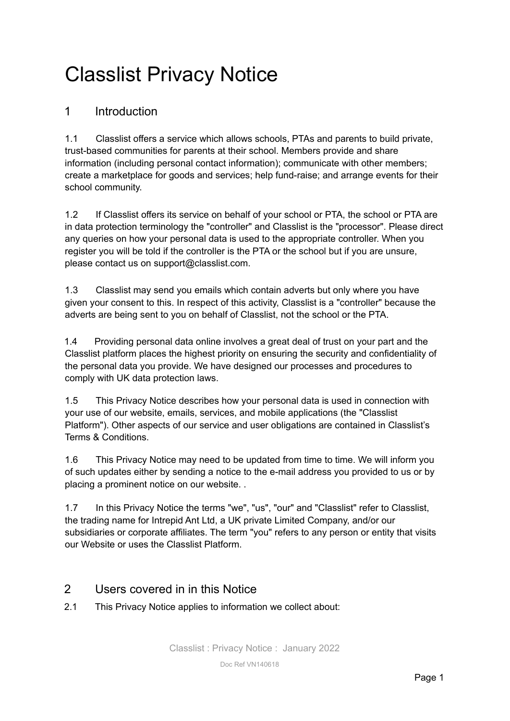# Classlist Privacy Notice

# 1 Introduction

1.1 Classlist offers a service which allows schools, PTAs and parents to build private, trust-based communities for parents at their school. Members provide and share information (including personal contact information); communicate with other members; create a marketplace for goods and services; help fund-raise; and arrange events for their school community.

1.2 If Classlist offers its service on behalf of your school or PTA, the school or PTA are in data protection terminology the "controller" and Classlist is the "processor". Please direct any queries on how your personal data is used to the appropriate controller. When you register you will be told if the controller is the PTA or the school but if you are unsure, please contact us on support@classlist.com.

1.3 Classlist may send you emails which contain adverts but only where you have given your consent to this. In respect of this activity, Classlist is a "controller" because the adverts are being sent to you on behalf of Classlist, not the school or the PTA.

1.4 Providing personal data online involves a great deal of trust on your part and the Classlist platform places the highest priority on ensuring the security and confidentiality of the personal data you provide. We have designed our processes and procedures to comply with UK data protection laws.

1.5 This Privacy Notice describes how your personal data is used in connection with your use of our website, emails, services, and mobile applications (the "Classlist Platform"). Other aspects of our service and user obligations are contained in Classlist's Terms & Conditions.

1.6 This Privacy Notice may need to be updated from time to time. We will inform you of such updates either by sending a notice to the e-mail address you provided to us or by placing a prominent notice on our website. .

1.7 In this Privacy Notice the terms "we", "us", "our" and "Classlist" refer to Classlist, the trading name for Intrepid Ant Ltd, a UK private Limited Company, and/or our subsidiaries or corporate affiliates. The term "you" refers to any person or entity that visits our Website or uses the Classlist Platform.

# 2 Users covered in in this Notice

2.1 This Privacy Notice applies to information we collect about: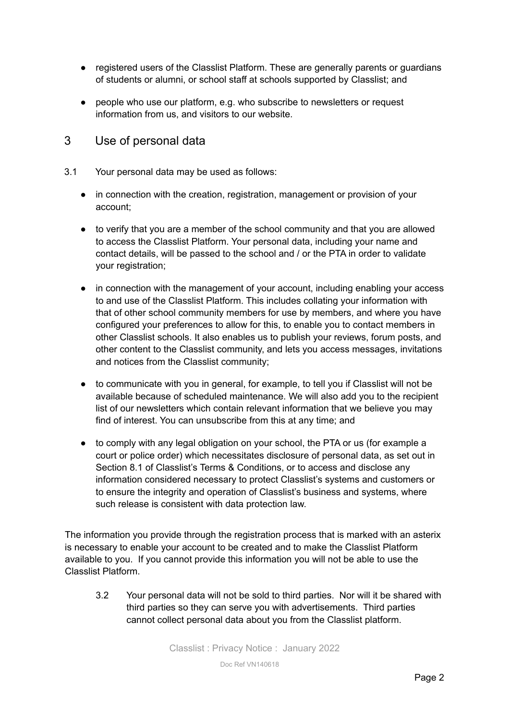- registered users of the Classlist Platform. These are generally parents or guardians of students or alumni, or school staff at schools supported by Classlist; and
- people who use our platform, e.g. who subscribe to newsletters or request information from us, and visitors to our website.

## 3 Use of personal data

- 3.1 Your personal data may be used as follows:
	- in connection with the creation, registration, management or provision of your account;
	- to verify that you are a member of the school community and that you are allowed to access the Classlist Platform. Your personal data, including your name and contact details, will be passed to the school and / or the PTA in order to validate your registration;
	- in connection with the management of your account, including enabling your access to and use of the Classlist Platform. This includes collating your information with that of other school community members for use by members, and where you have configured your preferences to allow for this, to enable you to contact members in other Classlist schools. It also enables us to publish your reviews, forum posts, and other content to the Classlist community, and lets you access messages, invitations and notices from the Classlist community;
	- to communicate with you in general, for example, to tell you if Classlist will not be available because of scheduled maintenance. We will also add you to the recipient list of our newsletters which contain relevant information that we believe you may find of interest. You can unsubscribe from this at any time; and
	- to comply with any legal obligation on your school, the PTA or us (for example a court or police order) which necessitates disclosure of personal data, as set out in Section 8.1 of Classlist's Terms & Conditions, or to access and disclose any information considered necessary to protect Classlist's systems and customers or to ensure the integrity and operation of Classlist's business and systems, where such release is consistent with data protection law.

The information you provide through the registration process that is marked with an asterix is necessary to enable your account to be created and to make the Classlist Platform available to you. If you cannot provide this information you will not be able to use the Classlist Platform.

3.2 Your personal data will not be sold to third parties. Nor will it be shared with third parties so they can serve you with advertisements. Third parties cannot collect personal data about you from the Classlist platform.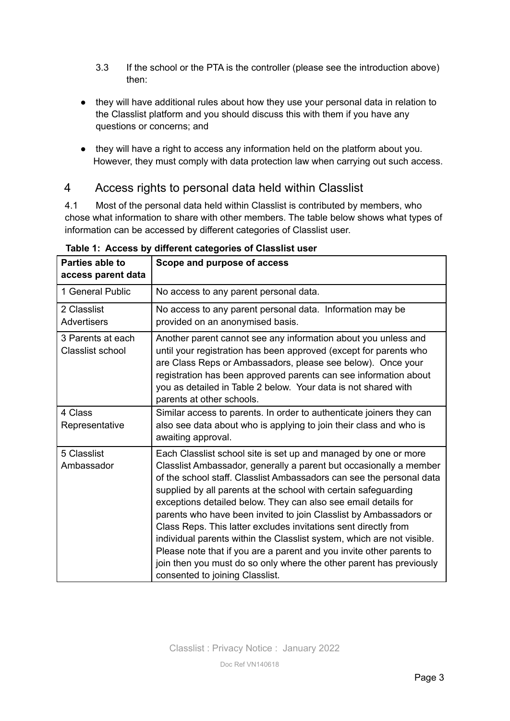- 3.3 If the school or the PTA is the controller (please see the introduction above) then:
- they will have additional rules about how they use your personal data in relation to the Classlist platform and you should discuss this with them if you have any questions or concerns; and
- they will have a right to access any information held on the platform about you. However, they must comply with data protection law when carrying out such access.

# 4 Access rights to personal data held within Classlist

4.1 Most of the personal data held within Classlist is contributed by members, who chose what information to share with other members. The table below shows what types of information can be accessed by different categories of Classlist user.

| Parties able to<br>access parent data        | Scope and purpose of access                                                                                                                                                                                                                                                                                                                                                                                                                                                                                                                                                                                                                                                                                                                            |
|----------------------------------------------|--------------------------------------------------------------------------------------------------------------------------------------------------------------------------------------------------------------------------------------------------------------------------------------------------------------------------------------------------------------------------------------------------------------------------------------------------------------------------------------------------------------------------------------------------------------------------------------------------------------------------------------------------------------------------------------------------------------------------------------------------------|
| 1 General Public                             | No access to any parent personal data.                                                                                                                                                                                                                                                                                                                                                                                                                                                                                                                                                                                                                                                                                                                 |
| 2 Classlist<br><b>Advertisers</b>            | No access to any parent personal data. Information may be<br>provided on an anonymised basis.                                                                                                                                                                                                                                                                                                                                                                                                                                                                                                                                                                                                                                                          |
| 3 Parents at each<br><b>Classlist school</b> | Another parent cannot see any information about you unless and<br>until your registration has been approved (except for parents who<br>are Class Reps or Ambassadors, please see below). Once your<br>registration has been approved parents can see information about<br>you as detailed in Table 2 below. Your data is not shared with<br>parents at other schools.                                                                                                                                                                                                                                                                                                                                                                                  |
| 4 Class<br>Representative                    | Similar access to parents. In order to authenticate joiners they can<br>also see data about who is applying to join their class and who is<br>awaiting approval.                                                                                                                                                                                                                                                                                                                                                                                                                                                                                                                                                                                       |
| 5 Classlist<br>Ambassador                    | Each Classlist school site is set up and managed by one or more<br>Classlist Ambassador, generally a parent but occasionally a member<br>of the school staff. Classlist Ambassadors can see the personal data<br>supplied by all parents at the school with certain safeguarding<br>exceptions detailed below. They can also see email details for<br>parents who have been invited to join Classlist by Ambassadors or<br>Class Reps. This latter excludes invitations sent directly from<br>individual parents within the Classlist system, which are not visible.<br>Please note that if you are a parent and you invite other parents to<br>join then you must do so only where the other parent has previously<br>consented to joining Classlist. |

**Table 1: Access by different categories of Classlist user**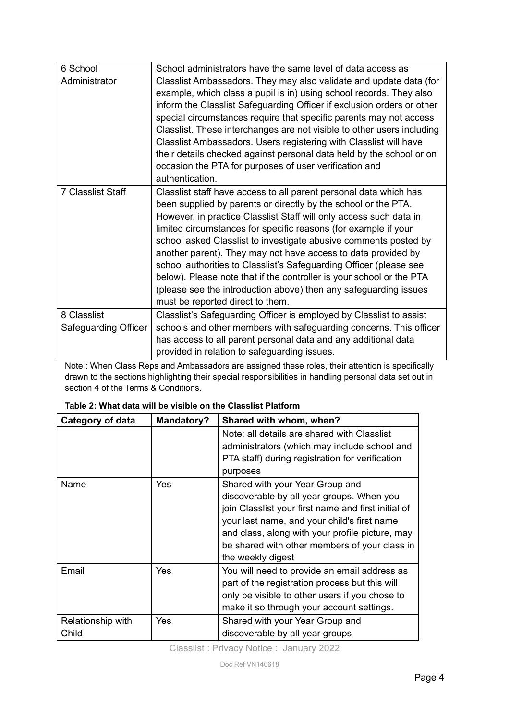| 6 School             | School administrators have the same level of data access as            |
|----------------------|------------------------------------------------------------------------|
| Administrator        | Classlist Ambassadors. They may also validate and update data (for     |
|                      | example, which class a pupil is in) using school records. They also    |
|                      | inform the Classlist Safeguarding Officer if exclusion orders or other |
|                      | special circumstances require that specific parents may not access     |
|                      | Classlist. These interchanges are not visible to other users including |
|                      | Classlist Ambassadors. Users registering with Classlist will have      |
|                      | their details checked against personal data held by the school or on   |
|                      | occasion the PTA for purposes of user verification and                 |
|                      | authentication.                                                        |
| 7 Classlist Staff    | Classlist staff have access to all parent personal data which has      |
|                      | been supplied by parents or directly by the school or the PTA.         |
|                      | However, in practice Classlist Staff will only access such data in     |
|                      | limited circumstances for specific reasons (for example if your        |
|                      | school asked Classlist to investigate abusive comments posted by       |
|                      | another parent). They may not have access to data provided by          |
|                      | school authorities to Classlist's Safeguarding Officer (please see     |
|                      | below). Please note that if the controller is your school or the PTA   |
|                      | (please see the introduction above) then any safeguarding issues       |
|                      | must be reported direct to them.                                       |
| 8 Classlist          | Classlist's Safeguarding Officer is employed by Classlist to assist    |
| Safeguarding Officer | schools and other members with safeguarding concerns. This officer     |
|                      | has access to all parent personal data and any additional data         |
|                      | provided in relation to safeguarding issues.                           |
|                      |                                                                        |

Note : When Class Reps and Ambassadors are assigned these roles, their attention is specifically drawn to the sections highlighting their special responsibilities in handling personal data set out in section 4 of the Terms & Conditions.

| Category of data           | Mandatory? | Shared with whom, when?                                                                                                                                                                                                                                                                                     |
|----------------------------|------------|-------------------------------------------------------------------------------------------------------------------------------------------------------------------------------------------------------------------------------------------------------------------------------------------------------------|
|                            |            | Note: all details are shared with Classlist<br>administrators (which may include school and<br>PTA staff) during registration for verification<br>purposes                                                                                                                                                  |
| Name                       | Yes        | Shared with your Year Group and<br>discoverable by all year groups. When you<br>join Classlist your first name and first initial of<br>your last name, and your child's first name<br>and class, along with your profile picture, may<br>be shared with other members of your class in<br>the weekly digest |
| Email                      | Yes        | You will need to provide an email address as<br>part of the registration process but this will<br>only be visible to other users if you chose to<br>make it so through your account settings.                                                                                                               |
| Relationship with<br>Child | Yes        | Shared with your Year Group and<br>discoverable by all year groups                                                                                                                                                                                                                                          |

**Table 2: What data will be visible on the Classlist Platform**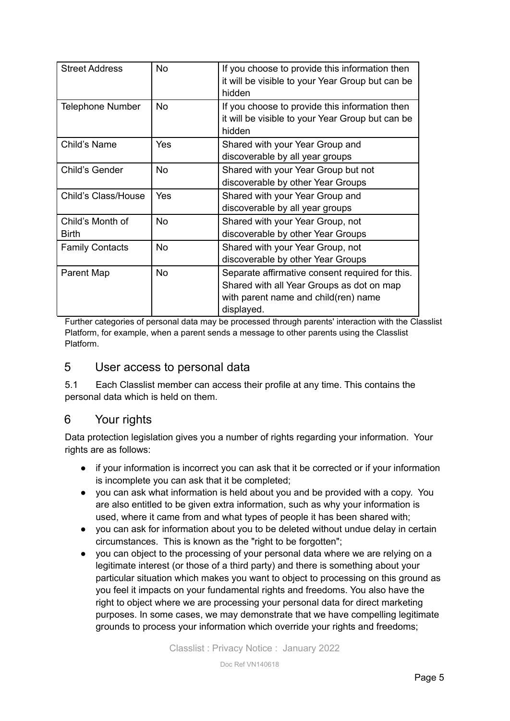| <b>Street Address</b>     | <b>No</b> | If you choose to provide this information then<br>it will be visible to your Year Group but can be<br>hidden                                       |
|---------------------------|-----------|----------------------------------------------------------------------------------------------------------------------------------------------------|
| <b>Telephone Number</b>   | No.       | If you choose to provide this information then<br>it will be visible to your Year Group but can be<br>hidden                                       |
| Child's Name              | Yes       | Shared with your Year Group and<br>discoverable by all year groups                                                                                 |
| Child's Gender            | No.       | Shared with your Year Group but not<br>discoverable by other Year Groups                                                                           |
| Child's Class/House       | Yes       | Shared with your Year Group and<br>discoverable by all year groups                                                                                 |
| Child's Month of<br>Birth | <b>No</b> | Shared with your Year Group, not<br>discoverable by other Year Groups                                                                              |
| <b>Family Contacts</b>    | <b>No</b> | Shared with your Year Group, not<br>discoverable by other Year Groups                                                                              |
| Parent Map                | <b>No</b> | Separate affirmative consent required for this.<br>Shared with all Year Groups as dot on map<br>with parent name and child(ren) name<br>displayed. |

Further categories of personal data may be processed through parents' interaction with the Classlist Platform, for example, when a parent sends a message to other parents using the Classlist Platform.

## 5 User access to personal data

5.1 Each Classlist member can access their profile at any time. This contains the personal data which is held on them.

## 6 Your rights

Data protection legislation gives you a number of rights regarding your information. Your rights are as follows:

- if your information is incorrect you can ask that it be corrected or if your information is incomplete you can ask that it be completed;
- you can ask what information is held about you and be provided with a copy. You are also entitled to be given extra information, such as why your information is used, where it came from and what types of people it has been shared with;
- you can ask for information about you to be deleted without undue delay in certain circumstances. This is known as the "right to be forgotten";
- you can object to the processing of your personal data where we are relying on a legitimate interest (or those of a third party) and there is something about your particular situation which makes you want to object to processing on this ground as you feel it impacts on your fundamental rights and freedoms. You also have the right to object where we are processing your personal data for direct marketing purposes. In some cases, we may demonstrate that we have compelling legitimate grounds to process your information which override your rights and freedoms;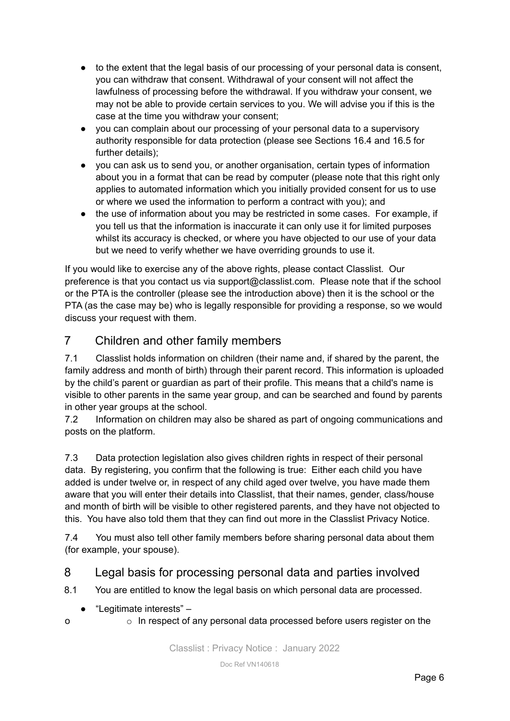- to the extent that the legal basis of our processing of your personal data is consent, you can withdraw that consent. Withdrawal of your consent will not affect the lawfulness of processing before the withdrawal. If you withdraw your consent, we may not be able to provide certain services to you. We will advise you if this is the case at the time you withdraw your consent;
- you can complain about our processing of your personal data to a supervisory authority responsible for data protection (please see Sections 16.4 and 16.5 for further details);
- you can ask us to send you, or another organisation, certain types of information about you in a format that can be read by computer (please note that this right only applies to automated information which you initially provided consent for us to use or where we used the information to perform a contract with you); and
- the use of information about you may be restricted in some cases. For example, if you tell us that the information is inaccurate it can only use it for limited purposes whilst its accuracy is checked, or where you have objected to our use of your data but we need to verify whether we have overriding grounds to use it.

If you would like to exercise any of the above rights, please contact Classlist. Our preference is that you contact us via support@classlist.com. Please note that if the school or the PTA is the controller (please see the introduction above) then it is the school or the PTA (as the case may be) who is legally responsible for providing a response, so we would discuss your request with them.

# 7 Children and other family members

7.1 Classlist holds information on children (their name and, if shared by the parent, the family address and month of birth) through their parent record. This information is uploaded by the child's parent or guardian as part of their profile. This means that a child's name is visible to other parents in the same year group, and can be searched and found by parents in other year groups at the school.

7.2 Information on children may also be shared as part of ongoing communications and posts on the platform.

7.3 Data protection legislation also gives children rights in respect of their personal data. By registering, you confirm that the following is true: Either each child you have added is under twelve or, in respect of any child aged over twelve, you have made them aware that you will enter their details into Classlist, that their names, gender, class/house and month of birth will be visible to other registered parents, and they have not objected to this. You have also told them that they can find out more in the Classlist Privacy Notice.

7.4 You must also tell other family members before sharing personal data about them (for example, your spouse).

# 8 Legal basis for processing personal data and parties involved

- 8.1 You are entitled to know the legal basis on which personal data are processed.
	- "Legitimate interests" -

o o In respect of any personal data processed before users register on the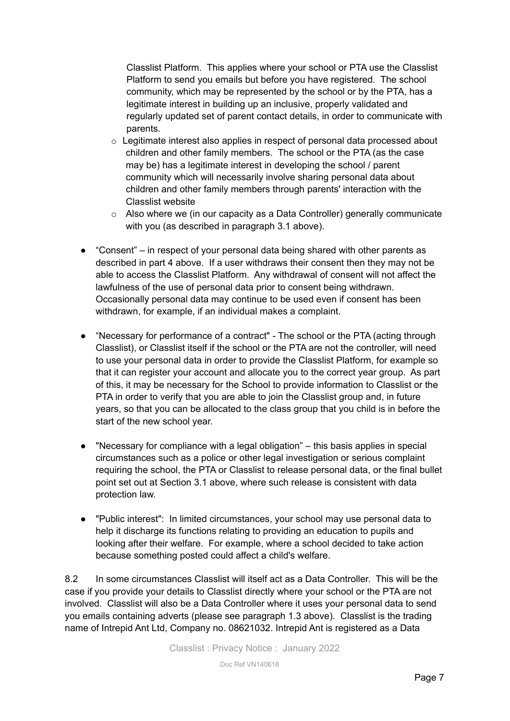Classlist Platform. This applies where your school or PTA use the Classlist Platform to send you emails but before you have registered. The school community, which may be represented by the school or by the PTA, has a legitimate interest in building up an inclusive, properly validated and regularly updated set of parent contact details, in order to communicate with parents.

- $\circ$  Legitimate interest also applies in respect of personal data processed about children and other family members. The school or the PTA (as the case may be) has a legitimate interest in developing the school / parent community which will necessarily involve sharing personal data about children and other family members through parents' interaction with the Classlist website
- $\circ$  Also where we (in our capacity as a Data Controller) generally communicate with you (as described in paragraph 3.1 above).
- $\bullet$  "Consent" in respect of your personal data being shared with other parents as described in part 4 above. If a user withdraws their consent then they may not be able to access the Classlist Platform. Any withdrawal of consent will not affect the lawfulness of the use of personal data prior to consent being withdrawn. Occasionally personal data may continue to be used even if consent has been withdrawn, for example, if an individual makes a complaint.
- "Necessary for performance of a contract" The school or the PTA (acting through Classlist), or Classlist itself if the school or the PTA are not the controller, will need to use your personal data in order to provide the Classlist Platform, for example so that it can register your account and allocate you to the correct year group. As part of this, it may be necessary for the School to provide information to Classlist or the PTA in order to verify that you are able to join the Classlist group and, in future years, so that you can be allocated to the class group that you child is in before the start of the new school year.
- "Necessary for compliance with a legal obligation" this basis applies in special circumstances such as a police or other legal investigation or serious complaint requiring the school, the PTA or Classlist to release personal data, or the final bullet point set out at Section 3.1 above, where such release is consistent with data protection law.
- "Public interest": In limited circumstances, your school may use personal data to help it discharge its functions relating to providing an education to pupils and looking after their welfare. For example, where a school decided to take action because something posted could affect a child's welfare.

8.2 In some circumstances Classlist will itself act as a Data Controller. This will be the case if you provide your details to Classlist directly where your school or the PTA are not involved. Classlist will also be a Data Controller where it uses your personal data to send you emails containing adverts (please see paragraph 1.3 above). Classlist is the trading name of Intrepid Ant Ltd, Company no. 08621032. Intrepid Ant is registered as a Data

Classlist : Privacy Notice : January 2022

Doc Ref VN140618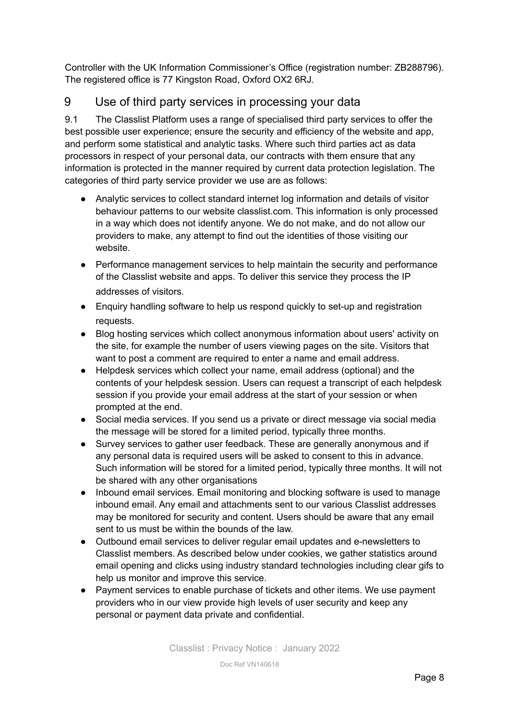Controller with the UK Information Commissioner's Office (registration number: ZB288796). The registered office is 77 Kingston Road, Oxford OX2 6RJ.

# 9 Use of third party services in processing your data

9.1 The Classlist Platform uses a range of specialised third party services to offer the best possible user experience; ensure the security and efficiency of the website and app, and perform some statistical and analytic tasks. Where such third parties act as data processors in respect of your personal data, our contracts with them ensure that any information is protected in the manner required by current data protection legislation. The categories of third party service provider we use are as follows:

- Analytic services to collect standard internet log information and details of visitor behaviour patterns to our website classlist.com. This information is only processed in a way which does not identify anyone. We do not make, and do not allow our providers to make, any attempt to find out the identities of those visiting our website.
- Performance management services to help maintain the security and performance of the Classlist website and apps. To deliver this service they process the IP addresses of visitors.
- Enquiry handling software to help us respond quickly to set-up and registration requests.
- Blog hosting services which collect anonymous information about users' activity on the site, for example the number of users viewing pages on the site. Visitors that want to post a comment are required to enter a name and email address.
- Helpdesk services which collect your name, email address (optional) and the contents of your helpdesk session. Users can request a transcript of each helpdesk session if you provide your email address at the start of your session or when prompted at the end.
- Social media services. If you send us a private or direct message via social media the message will be stored for a limited period, typically three months.
- Survey services to gather user feedback. These are generally anonymous and if any personal data is required users will be asked to consent to this in advance. Such information will be stored for a limited period, typically three months. It will not be shared with any other organisations
- Inbound email services. Email monitoring and blocking software is used to manage inbound email. Any email and attachments sent to our various Classlist addresses may be monitored for security and content. Users should be aware that any email sent to us must be within the bounds of the law.
- Outbound email services to deliver regular email updates and e-newsletters to Classlist members. As described below under cookies, we gather statistics around email opening and clicks using industry standard technologies including clear gifs to help us monitor and improve this service.
- Payment services to enable purchase of tickets and other items. We use payment providers who in our view provide high levels of user security and keep any personal or payment data private and confidential.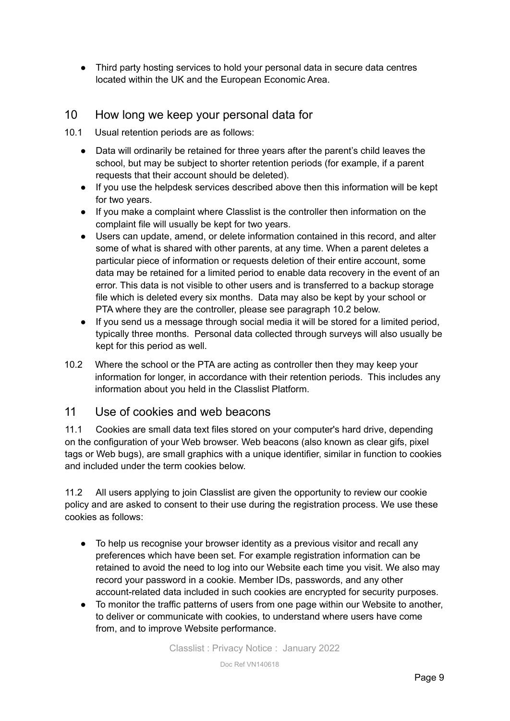● Third party hosting services to hold your personal data in secure data centres located within the UK and the European Economic Area.

### 10 How long we keep your personal data for

#### 10.1 Usual retention periods are as follows:

- Data will ordinarily be retained for three years after the parent's child leaves the school, but may be subject to shorter retention periods (for example, if a parent requests that their account should be deleted).
- If you use the helpdesk services described above then this information will be kept for two years.
- If you make a complaint where Classlist is the controller then information on the complaint file will usually be kept for two years.
- Users can update, amend, or delete information contained in this record, and alter some of what is shared with other parents, at any time. When a parent deletes a particular piece of information or requests deletion of their entire account, some data may be retained for a limited period to enable data recovery in the event of an error. This data is not visible to other users and is transferred to a backup storage file which is deleted every six months. Data may also be kept by your school or PTA where they are the controller, please see paragraph 10.2 below.
- If you send us a message through social media it will be stored for a limited period, typically three months. Personal data collected through surveys will also usually be kept for this period as well.
- 10.2 Where the school or the PTA are acting as controller then they may keep your information for longer, in accordance with their retention periods. This includes any information about you held in the Classlist Platform.

#### 11 Use of cookies and web beacons

11.1 Cookies are small data text files stored on your computer's hard drive, depending on the configuration of your Web browser. Web beacons (also known as clear gifs, pixel tags or Web bugs), are small graphics with a unique identifier, similar in function to cookies and included under the term cookies below.

11.2 All users applying to join Classlist are given the opportunity to review our cookie policy and are asked to consent to their use during the registration process. We use these cookies as follows:

- To help us recognise your browser identity as a previous visitor and recall any preferences which have been set. For example registration information can be retained to avoid the need to log into our Website each time you visit. We also may record your password in a cookie. Member IDs, passwords, and any other account-related data included in such cookies are encrypted for security purposes.
- To monitor the traffic patterns of users from one page within our Website to another, to deliver or communicate with cookies, to understand where users have come from, and to improve Website performance.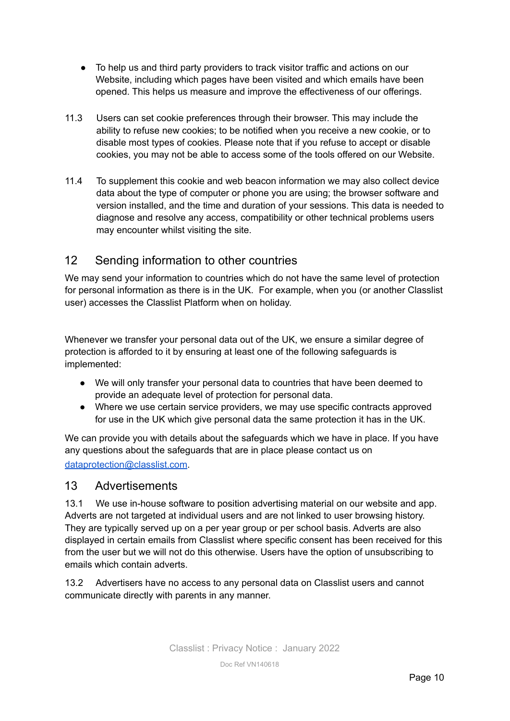- To help us and third party providers to track visitor traffic and actions on our Website, including which pages have been visited and which emails have been opened. This helps us measure and improve the effectiveness of our offerings.
- 11.3 Users can set cookie preferences through their browser. This may include the ability to refuse new cookies; to be notified when you receive a new cookie, or to disable most types of cookies. Please note that if you refuse to accept or disable cookies, you may not be able to access some of the tools offered on our Website.
- 11.4 To supplement this cookie and web beacon information we may also collect device data about the type of computer or phone you are using; the browser software and version installed, and the time and duration of your sessions. This data is needed to diagnose and resolve any access, compatibility or other technical problems users may encounter whilst visiting the site.

# 12 Sending information to other countries

We may send your information to countries which do not have the same level of protection for personal information as there is in the UK. For example, when you (or another Classlist user) accesses the Classlist Platform when on holiday.

Whenever we transfer your personal data out of the UK, we ensure a similar degree of protection is afforded to it by ensuring at least one of the following safeguards is implemented:

- We will only transfer your personal data to countries that have been deemed to provide an adequate level of protection for personal data.
- Where we use certain service providers, we may use specific contracts approved for use in the UK which give personal data the same protection it has in the UK.

We can provide you with details about the safeguards which we have in place. If you have any questions about the safeguards that are in place please contact us on [dataprotection@classlist.com](mailto:dataprotection@classlist.com).

#### 13 Advertisements

13.1 We use in-house software to position advertising material on our website and app. Adverts are not targeted at individual users and are not linked to user browsing history. They are typically served up on a per year group or per school basis. Adverts are also displayed in certain emails from Classlist where specific consent has been received for this from the user but we will not do this otherwise. Users have the option of unsubscribing to emails which contain adverts.

13.2 Advertisers have no access to any personal data on Classlist users and cannot communicate directly with parents in any manner.